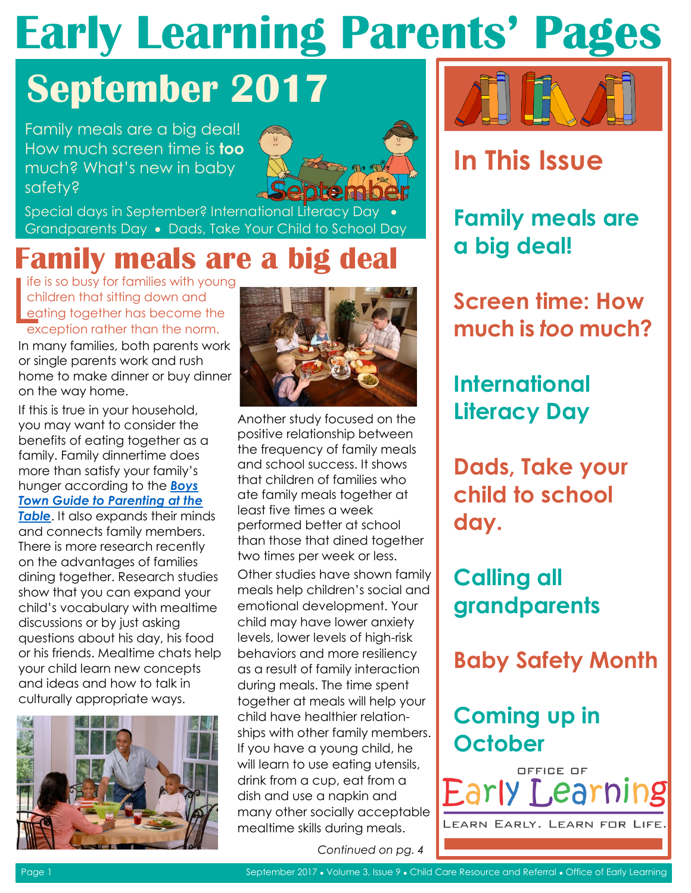### **September 2017**

Family meals are a big deal! How much screen time is **too** much? What's new in baby safety?



Special days in September? International Literacy Day Grandparents Day . Dads, Take Your Child to School Day

### **Family meals are a big deal**

Ife is so busy for families with young<br>
children that sitting down and<br>
eating together has become the<br>
exception rather than the norm. children that sitting down and eating together has become the exception rather than the norm.

In many families, both parents work or single parents work and rush home to make dinner or buy dinner on the way home.

Ifthis is true in your household,<br>
you may want to consider the<br>
benefits of eating together as a<br>
family[.](http://www.boystown.org/parenting/guides/Pages/at-the-table.aspx?view=3&utm_source=silverpopmailing&utm_medium=email&utm_campaign=bt%20enews%20november%202015%20(6)) Family dinnertime does<br>
the frequency of family meals<br>
and school success. It shows<br>
that children of families who dining together. Research studies Other studies have shown family show that you can expand your child's vocabulary with mealtime emotional development. Your discussions or by just asking child may have lower anxiety questions about his day, his food levels, lower levels of high-risk or his friends. Mealtime chats help behaviors and more resiliency your child learn new concepts as a result of family interaction and ideas and how to talk in during meals. The time spent culturally appropriate ways. together at meals will help your





child have healthier relationships with other family members. If you have a young child, he will learn to use eating utensils, drink from a cup, eat from a dish and use a napkin and many other socially acceptable mealtime skills during meals.

i<br>I





### **In This Issue**

**Family meals are a big deal!** 

**Screen time: How much is** *too* **much?** 

**International Literacy Day** 

**Dads, Take your child to school day.** 

**Calling all grandparents** 

**Baby Safety Month** 

#### **Coming up in October**

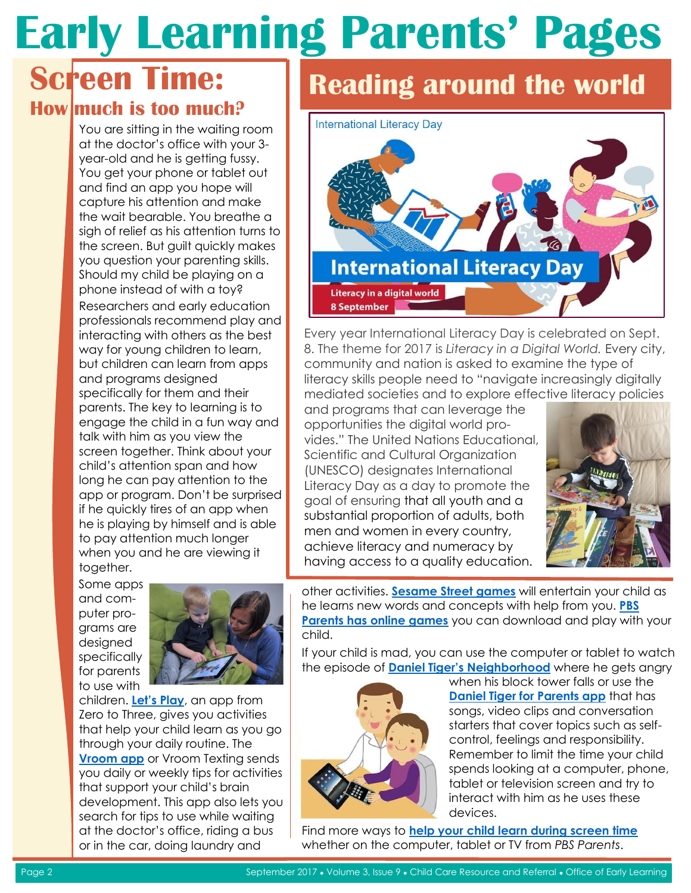#### **Screen Time: How much is too much?**

You are sitting in the waiting room at the doctor's office with your 3 year-old and he is getting fussy. You get your phone or tablet out and find an app you hope will capture his attention and make the wait bearable. You breathe a sigh of relief as his attention turns to the screen. But guilt quickly makes you question your parenting skills. Should my child be playing on a phone instead of with a toy? Researchers and early education professionals recommend play and interacting with others as the best way for young children to learn, but children can learn from apps and programs designed specifically for them and their parents. The key to learning is to engage the child in a fun way and talk with him as you view the screen together. Think about your child's attention span and how long he can pay attention to the app or program. Don't be surprised if he quickly tires of an app when he is playing by himself and is able to pay attention much longer when you and he are viewing it together.

Some apps and computer programs are designed specifically for parents to use with



children. **[Let's Play](https://www.zerotothree.org/resources/380-let-s-play-free-parenting-app)**, an app from Zero to Three, gives you activities that help your child learn as you go through your daily routine. The **[Vroom app](http://www.joinvroom.org/)** or Vroom Texting sends you daily or weekly tips for activities that support your child's brain development. This app also lets you search for tips to use while waiting at the doctor's office, riding a bus or in the car, doing laundry and

### **Reading around the world**



Every year International Literacy Day is celebrated on Sept. 8. The theme for 2017 is *Literacy in a Digital World.* Every city, community and nation is asked to examine the type of literacy skills people need to "navigate increasingly digitally mediated societies and to explore effective literacy policies

and programs that can leverage the opportunities the digital world provides." The United Nations Educational, Scientific and Cultural Organization (UNESCO) designates International Literacy Day as a day to promote the goal of ensuring that all youth and a substantial proportion of adults, both men and women in every country, achieve literacy and numeracy by having access to a quality education.



other activities. **[Sesame Street games](https://www.sesamestreet.org/games)** will entertain your child as he learns new words and concepts with help from you. **[PBS](http://www.pbs.org/parents/fun-and-games/online-games/)  [Parents has online games](http://www.pbs.org/parents/fun-and-games/online-games/)** you can download and play with your child.

If your child is mad, you can use the computer or tablet to watch the episode of **[Daniel Tiger's Neighborhood](http://www.pbs.org/parents/daniel/)** where he gets angry



when his block tower falls or use the **[Daniel Tiger for Parents app](http://pbskids.org/apps/daniel-tiger-for-parents.html)** that has songs, video clips and conversation starters that cover topics such as selfcontrol, feelings and responsibility. Remember to limit the time your child spends looking at a computer, phone, tablet or television screen and try to interact with him as he uses these devices.

Find more ways to **[help your child learn during screen time](http://www.pbs.org/parents/expert-tips-advice/2017/05/child-learns-join-screen-time/)** whether on the computer, tablet or TV from *PBS Parents*.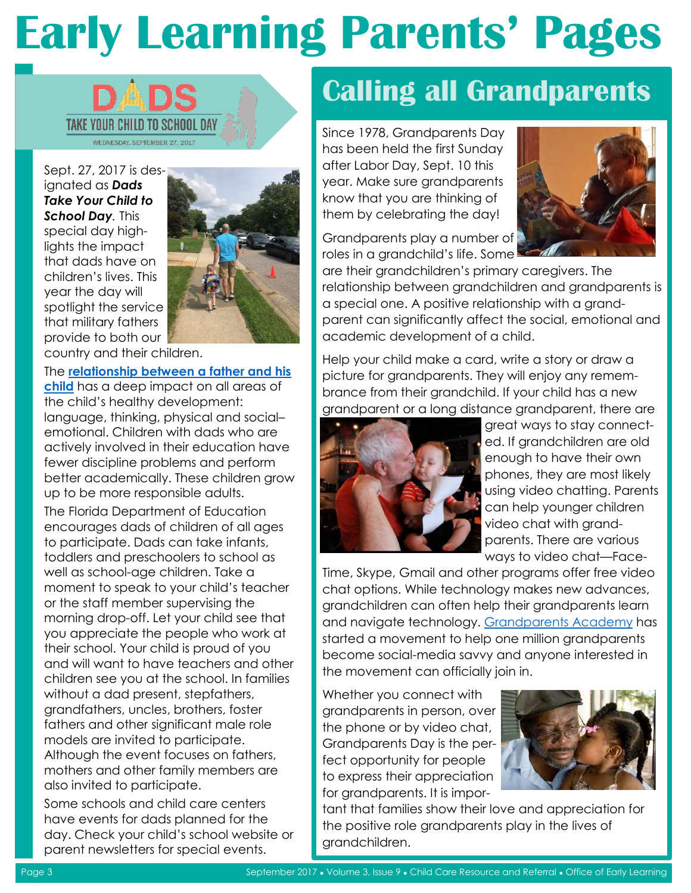

Sept. 27, 2017 is designated as *Dads Take Your Child to School Day.* This special day highlights the impact that dads have on children's lives. This year the day will spotlight the service that military fathers provide to both our



country and their children.

#### The **[relationship between a father and his](https://www.zerotothree.org/resources/series/the-daddy-factor)**

**[child](https://www.zerotothree.org/resources/series/the-daddy-factor)** has a deep impact on all areas of the child's healthy development: language, thinking, physical and social– emotional. Children with dads who are actively involved in their education have fewer discipline problems and perform better academically. These children grow up to be more responsible adults.

The Florida Department of Education encourages dads of children of all ages to participate. Dads can take infants, toddlers and preschoolers to school as well as school-age children. Take a moment to speak to your child's teacher or the staff member supervising the morning drop-off. Let your child see that you appreciate the people who work at their school. Your child is proud of you and will want to have teachers and other children see you at the school. In families without a dad present, stepfathers, grandfathers, uncles, brothers, foster fathers and other significant male role models are invited to participate. Although the event focuses on fathers, mothers and other family members are also invited to participate.

Some schools and child care centers have events for dads planned for the day. Check your child's school website or parent newsletters for special events.

### **Calling all Grandparents**

Since 1978, Grandparents Day has been held the first Sunday after Labor Day, Sept. 10 this year. Make sure grandparents know that you are thinking of them by celebrating the day!



Grandparents play a number of roles in a grandchild's life. Some

are their grandchildren's primary caregivers. The relationship between grandchildren and grandparents is a special one. A positive relationship with a grandparent can significantly affect the social, emotional and academic development of a child.

Help your child make a card, write a story or draw a picture for grandparents. They will enjoy any remembrance from their grandchild. If your child has a new grandparent or a long distance grandparent, there are



great ways to stay connected. If grandchildren are old enough to have their own phones, they are most likely using video chatting. Parents can help younger children video chat with grandparents. There are various ways to video chat—Face-

Time, Skype, Gmail and other programs offer free video chat options. While technology makes new advances, grandchildren can often help their grandparents learn and navigate technology. [Grandparents Academy](http://grandparentsacademy.com/) has started a movement to help one million grandparents become social-media savvy and anyone interested in the movement can officially join in.

Whether you connect with grandparents in person, over the phone or by video chat, Grandparents Day is the perfect opportunity for people to express their appreciation for grandparents. It is impor-



tant that families show their love and appreciation for the positive role grandparents play in the lives of grandchildren.